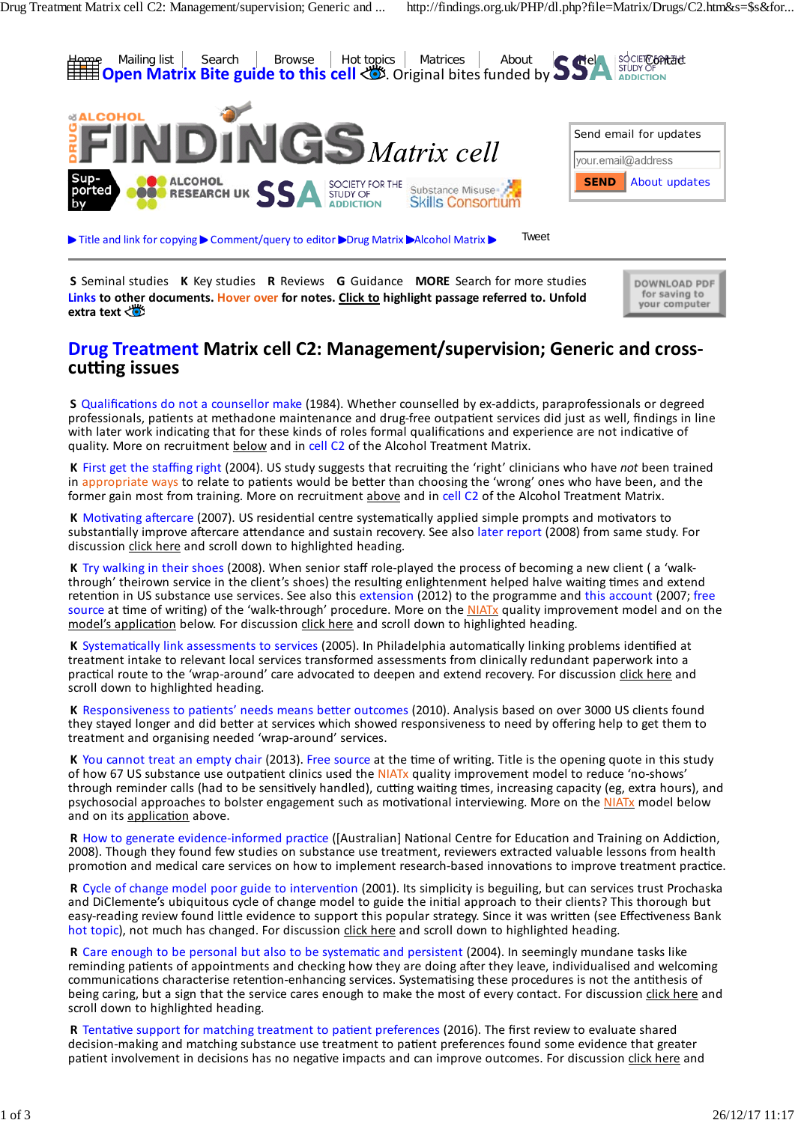

**S** Seminal studies **K** Key studies **R** Reviews **G** Guidance **MORE** Search for more studies **Links to other documents. Hover over for notes. Click to highlight passage referred to. Unfold** extra **text** 

DOWNLOAD PDF for saving to<br>your computer

# **Drug Treatment Matrix cell C2: Management/supervision; Generic and cross‐ cutting issues**

**S** Qualifications do not a counsellor make (1984). Whether counselled by ex‐addicts, paraprofessionals or degreed professionals, patients at methadone maintenance and drug‐free outpatient services did just as well, findings in line with later work indicating that for these kinds of roles formal qualifications and experience are not indicative of quality. More on recruitment below and in cell C2 of the Alcohol Treatment Matrix.

**K** First get the staffing right (2004). US study suggests that recruiting the 'right' clinicians who have *not* been trained in appropriate ways to relate to patients would be better than choosing the 'wrong' ones who have been, and the former gain most from training. More on recruitment above and in cell C2 of the Alcohol Treatment Matrix.

**K** Motivating aftercare (2007). US residential centre systematically applied simple prompts and motivators to substantially improve aftercare attendance and sustain recovery. See also later report (2008) from same study. For discussion click here and scroll down to highlighted heading.

**K** Try walking in their shoes (2008). When senior staff role‐played the process of becoming a new client ( a 'walk‐ through' theirown service in the client's shoes) the resulting enlightenment helped halve waiting times and extend retention in US substance use services. See also this extension (2012) to the programme and this account (2007; free source at time of writing) of the 'walk-through' procedure. More on the NIATx quality improvement model and on the model's application below. For discussion click here and scroll down to highlighted heading.

**K** Systematically link assessments to services (2005). In Philadelphia automatically linking problems identified at treatment intake to relevant local services transformed assessments from clinically redundant paperwork into a practical route to the 'wrap‐around' care advocated to deepen and extend recovery. For discussion click here and scroll down to highlighted heading.

**K** Responsiveness to patients' needs means better outcomes (2010). Analysis based on over 3000 US clients found they stayed longer and did better at services which showed responsiveness to need by offering help to get them to treatment and organising needed 'wrap‐around' services.

**K** You cannot treat an empty chair (2013). Free source at the time of writing. Title is the opening quote in this study of how 67 US substance use outpatient clinics used the NIATx quality improvement model to reduce 'no-shows' through reminder calls (had to be sensitively handled), cutting waiting times, increasing capacity (eg, extra hours), and psychosocial approaches to bolster engagement such as motivational interviewing. More on the NIATx model below and on its application above.

**R** How to generate evidence‐informed practice ([Australian] National Centre for Education and Training on Addiction, 2008). Though they found few studies on substance use treatment, reviewers extracted valuable lessons from health promotion and medical care services on how to implement research‐based innovations to improve treatment practice.

**R** Cycle of change model poor guide to intervention (2001). Its simplicity is beguiling, but can services trust Prochaska and DiClemente's ubiquitous cycle of change model to guide the initial approach to their clients? This thorough but easy-reading review found little evidence to support this popular strategy. Since it was written (see Effectiveness Bank hot topic), not much has changed. For discussion click here and scroll down to highlighted heading.

**R** Care enough to be personal but also to be systematic and persistent (2004). In seemingly mundane tasks like reminding patients of appointments and checking how they are doing after they leave, individualised and welcoming communications characterise retention‐enhancing services. Systematising these procedures is not the antithesis of being caring, but a sign that the service cares enough to make the most of every contact. For discussion click here and scroll down to highlighted heading.

**R** Tentative support for matching treatment to patient preferences (2016). The first review to evaluate shared decision‐making and matching substance use treatment to patient preferences found some evidence that greater patient involvement in decisions has no negative impacts and can improve outcomes. For discussion click here and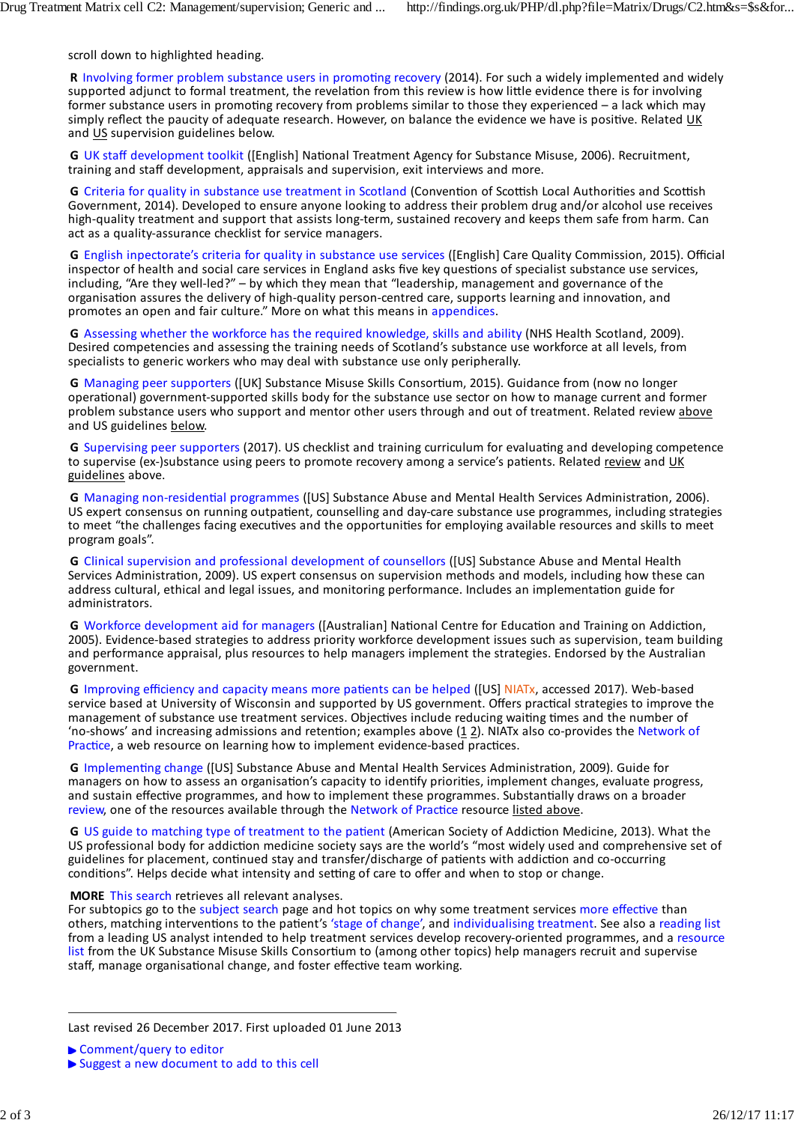scroll down to highlighted heading.

**R** Involving former problem substance users in promoting recovery (2014). For such a widely implemented and widely supported adjunct to formal treatment, the revelation from this review is how little evidence there is for involving former substance users in promoting recovery from problems similar to those they experienced – a lack which may simply reflect the paucity of adequate research. However, on balance the evidence we have is positive. Related UK and US supervision guidelines below.

**G** UK staff development toolkit ([English] National Treatment Agency for Substance Misuse, 2006). Recruitment, training and staff development, appraisals and supervision, exit interviews and more.

**G** Criteria for quality in substance use treatment in Scotland (Convention of Scottish Local Authorities and Scottish Government, 2014). Developed to ensure anyone looking to address their problem drug and/or alcohol use receives high-quality treatment and support that assists long-term, sustained recovery and keeps them safe from harm. Can act as a quality‐assurance checklist for service managers.

**G** English inpectorate's criteria for quality in substance use services ([English] Care Quality Commission, 2015). Official inspector of health and social care services in England asks five key questions of specialist substance use services, including, "Are they well-led?" – by which they mean that "leadership, management and governance of the organisation assures the delivery of high‐quality person‐centred care, supports learning and innovation, and promotes an open and fair culture." More on what this means in appendices.

**G** Assessing whether the workforce has the required knowledge, skills and ability (NHS Health Scotland, 2009). Desired competencies and assessing the training needs of Scotland's substance use workforce at all levels, from specialists to generic workers who may deal with substance use only peripherally.

**G** Managing peer supporters ([UK] Substance Misuse Skills Consortium, 2015). Guidance from (now no longer operational) government‐supported skills body for the substance use sector on how to manage current and former problem substance users who support and mentor other users through and out of treatment. Related review above and US guidelines below.

**G** Supervising peer supporters (2017). US checklist and training curriculum for evaluating and developing competence to supervise (ex‐)substance using peers to promote recovery among a service's patients. Related review and UK guidelines above.

**G** Managing non‐residential programmes ([US] Substance Abuse and Mental Health Services Administration, 2006). US expert consensus on running outpatient, counselling and day‐care substance use programmes, including strategies to meet "the challenges facing executives and the opportunities for employing available resources and skills to meet program goals".

**G** Clinical supervision and professional development of counsellors ([US] Substance Abuse and Mental Health Services Administration, 2009). US expert consensus on supervision methods and models, including how these can address cultural, ethical and legal issues, and monitoring performance. Includes an implementation guide for administrators.

**G** Workforce development aid for managers ([Australian] National Centre for Education and Training on Addiction, 2005). Evidence‐based strategies to address priority workforce development issues such as supervision, team building and performance appraisal, plus resources to help managers implement the strategies. Endorsed by the Australian government.

**G** Improving efficiency and capacity means more patients can be helped ([US] NIATx, accessed 2017). Web‐based service based at University of Wisconsin and supported by US government. Offers practical strategies to improve the management of substance use treatment services. Objectives include reducing waiting times and the number of 'no-shows' and increasing admissions and retention; examples above  $(1 2)$ . NIATx also co-provides the Network of Practice, a web resource on learning how to implement evidence-based practices.

**G** Implementing change ([US] Substance Abuse and Mental Health Services Administration, 2009). Guide for managers on how to assess an organisation's capacity to identify priorities, implement changes, evaluate progress, and sustain effective programmes, and how to implement these programmes. Substantially draws on a broader review, one of the resources available through the Network of Practice resource listed above.

**G** US guide to matching type of treatment to the patient (American Society of Addiction Medicine, 2013). What the US professional body for addiction medicine society says are the world's "most widely used and comprehensive set of guidelines for placement, continued stay and transfer/discharge of patients with addiction and co‐occurring conditions". Helps decide what intensity and setting of care to offer and when to stop or change.

#### **MORE** This search retrieves all relevant analyses.

For subtopics go to the subject search page and hot topics on why some treatment services more effective than others, matching interventions to the patient's 'stage of change', and individualising treatment. See also a reading list from a leading US analyst intended to help treatment services develop recovery-oriented programmes, and a resource list from the UK Substance Misuse Skills Consortium to (among other topics) help managers recruit and supervise staff, manage organisational change, and foster effective team working.

Last revised 26 December 2017. First uploaded 01 June 2013

<sup>▶</sup> Comment/query to editor

Suggest a new document to add to this cell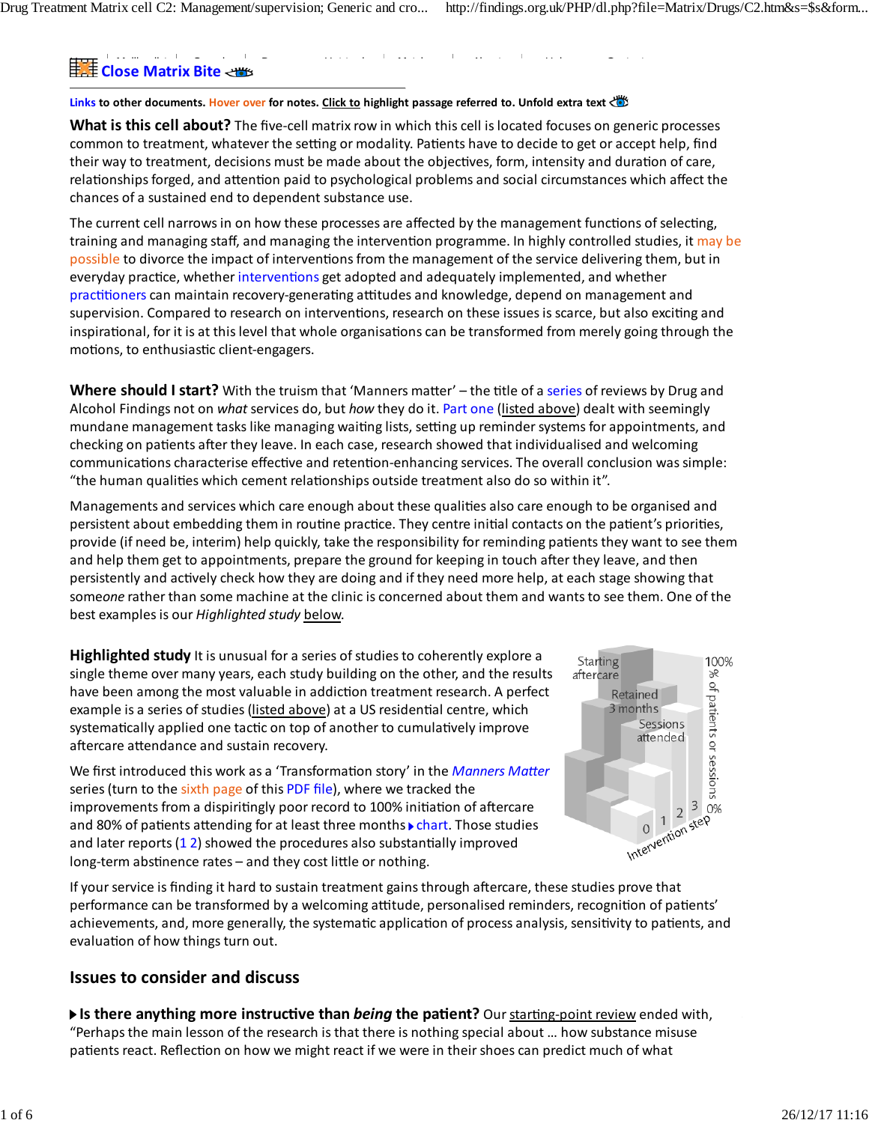## Home Mailing list Search Browse Hot topics Matrices About Help Contact **Close Matrix Bite**

#### **Links to other documents. Hover over for notes. Click to highlight passage referred to. Unfold extra text**

**What is this cell about?** The five‐cell matrix row in which this cell islocated focuses on generic processes common to treatment, whatever the setting or modality. Patients have to decide to get or accept help, find their way to treatment, decisions must be made about the objectives, form, intensity and duration of care, relationships forged, and attention paid to psychological problems and social circumstances which affect the chances of a sustained end to dependent substance use.

**Links** everyday practice, whether interventions get adopted and adequately implemented, and whether **Drug Treatment** supervision. Compared to research on interventions, research on these issuesisscarce, but also exciting and inspirational, for it is at this level that whole organisations can be transformed from merely going through the<br>———————————————————— The current cell narrows in on how these processes are affected by the management functions of selecting, training and managing staff, and managing the intervention programme. In highly controlled studies, it may be possible to divorce the impact of interventions from the management of the service delivering them, but in practitioners can maintain recovery‐generating attitudes and knowledge, depend on management and motions, to enthusiastic client‐engagers.

 $\mathbf{M}$  have should Letast  $\mathbf{D}$  With the tunion that (Mannex matter) sthe title of a saries of reviews by Drug and **Where should I start?** With the truism that 'Manners matter' – the title of a series of reviews by Drug and Alcohol Findings not on *what* services do, but *how* they do it. <u>Part one (listed above</u>) dealt with seemingly checking on patients after they leave. In each case, research showed that individualised and welcoming communications characterise effective and retention-enhancing services. The overall conclusion was simple: "the human qualities which cement relationships outside treatment also do so within it". mundane management tasks like managing waiting lists, setting up reminder systems for appointments, and

Managements and services which care enough about these qualities also care enough to be organised and the contract in the client of the contract in the result of the results of the results of the return of the return of the contract  $\epsilon$  is and the return in USD. provide (if need be, interim) help quickly, take the responsibility for reminding patients they want to see them<br> and help them get to appointments, prepare the ground for keeping in touch after they leave, and then persistently and actively check how they are doing and if they need more help, at each stage showing that some*one* rather than some machine at the clinic is concerned about them and wants to see them. One of the to relevant local services transformed as services transformed as produced as produced as produced as produced route to the 'wrapes' route to the 'wrapes' route to the 'wrapes' route to the 'wrapes' route to the 'wrapes' r best examples is our *Highlighted study <u>below</u>.* persistent about embedding them in routine practice. They centre initial contacts on the patient's priorities,

**Highlighted study** It is unusual for a series of studies to coherently explore a starting **Fighted Starting** single theme over many years, each study building on the other, and the results  $U$ substance use of  $\frac{1}{2}$  substance used the  $\frac{1}{2}$  model to  $\frac{1}{2}$  model to  $\frac{1}{2}$  model to  $\frac{1}{2}$  model to  $\frac{1}{2}$  model to  $\frac{1}{2}$  model to  $\frac{1}{2}$  model to  $\frac{1}{2}$  model to  $\frac{1}{2}$  model to example is a series of studies (listed above) at a US residential centre, which and psychosocial approaches to bo systematically applied one tactic on top of another to cumulatively improve have been among the most valuable in addiction treatment research. A perfect aftercare attendance and sustain recovery.

 $T$  the found few studies on substance use treatment, reviewers extracted values from  $\mathcal{L}$ We first introduced this work as a 'Transformation story' in the *Manners Matter* prove the DiClemente's ubiquitous cycle of change model to guide the initial approach to their clients? This thorough but easy‐reading improvements from a dispiritingly poor record to 100% initiation of aftercare and 80% of patients attending for at least three months  $\blacktriangleright$  chart. Those studies  $\sqrt{1-\omega_0}$  steP and later reports (1 2) showed the procedures also substantially improved long‐term abstinence rates – and they cost little or nothing communications were and welcoming communications were  $\mathbb{R}^n$ series (turn to the sixth page of this PDF file), where we tracked the



If your service is finding it hard to sustain treatment gains through aftercare, these studies prove that n your service is imaing it hard to sustain treatment gains through artereare, these stadies prove that<br>performance can be transformed by a welcoming attitude, personalised reminders, recognition of patients' achievements, and, more generally, the systematic application of process analysis, sensitivity to patients, and evaluation of how things turn out.

#### adjunct to formal treatment, the revelation from this review is how little evidence there is for involving former substance users in **Issues to consider and discuss**  $p_{\text{ref}}$  recovery similar to those they experienced  $q_{\text{ref}}$  may simply reflect the parameters of adequation of adequate  $q_{\text{ref}}$

research. However, on balance the evidence we have is positive. Related Is there anything more instructive than *being* the patient? Our starting-point review ended with, "Perhaps the main lesson of the research is that there is nothing special about ... how substance misuse patients react. Reflection on how we might react if we were in their shoes can predict much of what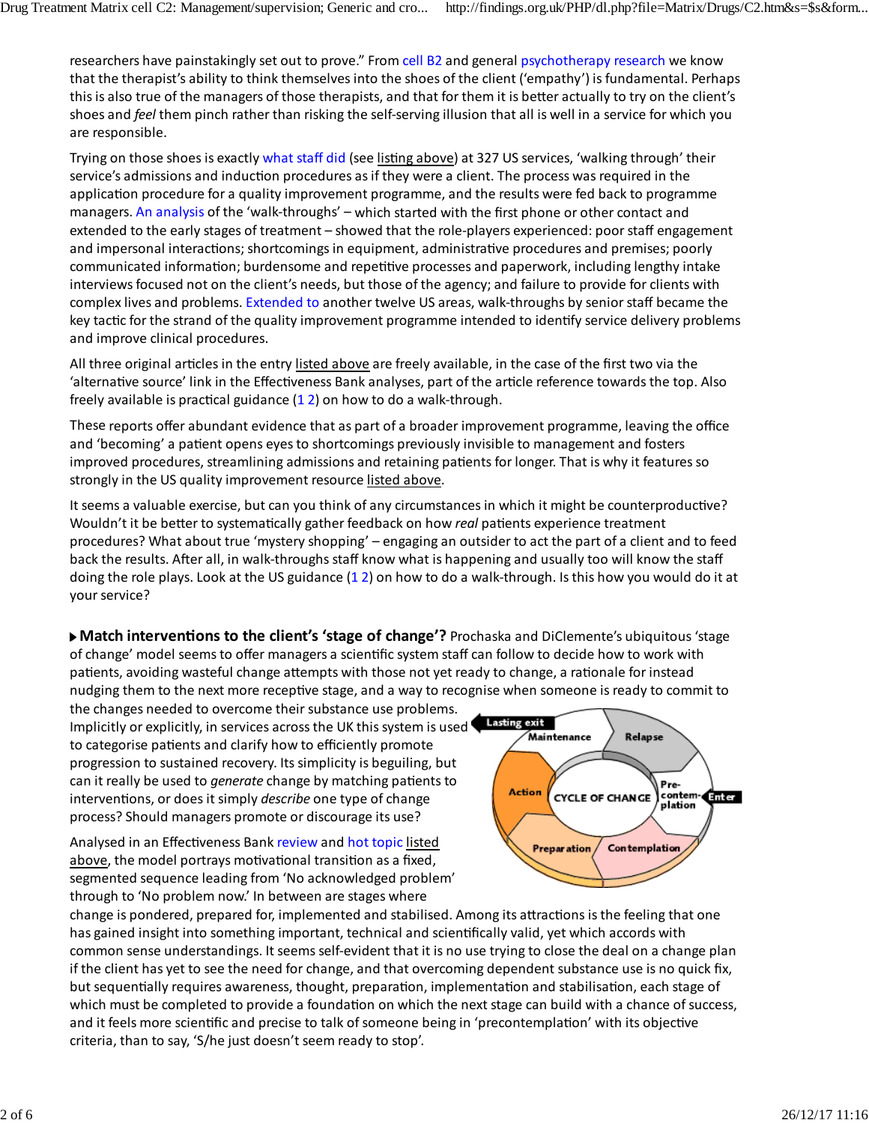researchers have painstakingly set out to prove." From cell B2 and general psychotherapy research we know that the shownists objitute think themselves into the shoes of the slight from othy') is fundamental. Deshault that the therapist's ability to think themselves into the shoes of the client ('empathy') is fundamental. Perhaps shoes and *feel* them pinch rather than risking the self-serving illusion that all is well in a service for which you which they mean that "leadership" is a state of the organisation assures that "leadership" is a state of the organisation assures the organisation assures the organisation assures the organisation assures the delivery of t higher persons learning and innovation, and innovation, and promotes and fair culture. This culture, and  $\alpha$ thisis also true of the managers of those therapists, and that for them it is better actually to try on the client's

Trying on those shoes is exactly what staff did (see <u>listing above</u>) at 327 US services, 'walking through' their application procedure for a quality improvement programme, and the results were fed back to programme workers who may deal with substance use only peripherally. managers. An analysis of the 'walk‐throughs' – which started with the first phone or other contact and extended to the early stages of treatment – showed that the role-players experienced: poor staff engagement and impersonal interactions; shortcomings in equipment, administrative procedures and premises; poorly interviews focused not on the client's needs, but those of the agency; and failure to provide for clients with key tactic for the strand of the quality improvement programme intended to identify service delivery programme key tactic for the strand of the quality improvement programme intended to identify service delivery problems<br>and improve alimical are codures service's admissions and induction procedures as if they were a client. The process was required in the communicated information; burdensome and repetitive processes and paperwork, including lengthy intake complex lives and problems. Extended to another twelve US areas, walk-throughs by senior staff became the and improve clinical procedures.

All three original articles in the entry listed above are freely available, in the case of the first two via the 'alternative source' link in the Effectiveness Bank analyses, part of the article reference towards the top. Also  $E_{\rm F}$  strategies to address priority workforce development is such as supervision, team building and performance development is such as supervision, team building and performance development is such and performance dev freely available is practical guidance  $(1 2)$  on how to do a walk-through.

These reports offer abundant evidence that as part of a broader improvement programme, leaving the office and 'becoming' a patient opens eyes to shortcomings previously invisible to management and fosters  $I$  improved procedures, streamlining admissions and retaining patients for longer. That is why it features so improved procedures, streamlining admissions and retaining patients for longer. That is why it features so int<br>An additional control of the control of the control of the control of the control of the control of the contro strongly in the US quality improvement resource <u>listed above</u>.

It seems a valuable exercise, but can you think of any circumstances in which it might be counterproductive? Wouldn't it be better to systematically gather feedback on how real patients experience treatment procedures? What about true 'mystery shopping' – engaging an outsider to act the part of a client and to feed back the results. After all, in walk-throughs staff know what is happening and usually too will know the staff  $\frac{1}{2}$  for a diction medicine society says are the world's "most widely used and comprehensive set of guidelines for guidelines for guidelines for guidelines for guidelines for guidelines for guidelines for guidelines  $p_{\text{out}}$  stay and transfer and transfer patients with addition and conditions  $p_{\text{out}}$ . Here  $p_{\text{out}}$ doing the role plays. Look at the US guidance (12) on how to do a walk-through. Is this how you would do it at your service?

of change' model seems to offer managers a scientific system staff can follow to decide how to work with or enange model seems patients, avoiding wasteful change attempts with those not yet ready to change, a rationale for instead nudging them to the next more receptive stage, and a way to recognise when someone is ready to commit to **Match interventions to the client's 'stage of change'?** Prochaska and DiClemente's ubiquitous 'stage

the changes needed to overcome their substance use problems. progression to sustained recovery. Its simplicity is beguiling, but Implicitly or explicitly, in services across the UK this system is used to categorise patients and clarify how to efficiently promote can it really be used to *generate* change by matching patients to interventions, or does it simply *describe* one type of change process? Should managers promote or discourage its use?

Analysed in an Effectiveness Bank review and hot topic listed above, the model portrays motivational transition as a fixed, segmented sequence leading from 'No acknowledged problem' through to 'No problem now.' In between are stages where



change is pondered, prepared for, implemented and stabilised. Among its attractionsisthe feeling that one has gained insight into something important, technical and scientifically valid, yet which accords with common sense understandings. It seems self‐evident that it is no use trying to close the deal on a change plan if the client has yet to see the need for change, and that overcoming dependent substance use is no quick fix, but sequentially requires awareness, thought, preparation, implementation and stabilisation, each stage of which must be completed to provide a foundation on which the next stage can build with a chance of success, and it feels more scientific and precise to talk of someone being in 'precontemplation' with its objective criteria, than to say, 'S/he just doesn't seem ready to stop'.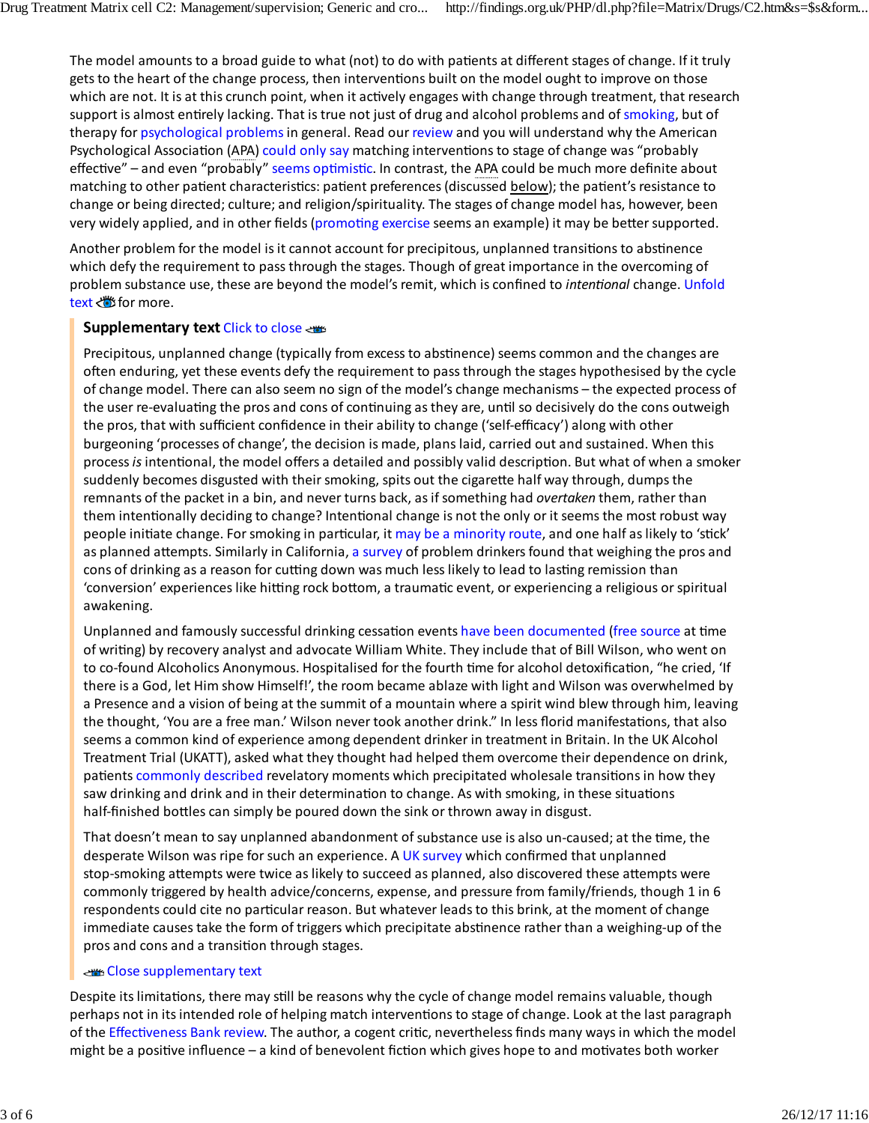The model amounts to a broad guide to what (not) to do with patients at different stages of change. If it truly gets to the heart of the change process, then interventions built on the model ought to improve on those which are not. It is at this crunch point, when it actively engages with change through treatment, that research support is almost entirely lacking. That is true not just of drug and alcohol problems and of smoking, but of therapy for psychological problems in general. Read our review and you will understand why the American Psychological Association (APA) could only say matching interventions to stage of change was "probably effective" – and even "probably" seems optimistic. In contrast, the APA could be much more definite about matching to other patient characteristics: patient preferences (discussed below); the patient's resistance to change or being directed; culture; and religion/spirituality. The stages of change model has, however, been very widely applied, and in other fields (promoting exercise seems an example) it may be better supported.

Another problem for the model is it cannot account for precipitous, unplanned transitions to abstinence which defy the requirement to pass through the stages. Though of great importance in the overcoming of problem substance use, these are beyond the model's remit, which is confined to *intentional* change. Unfold text *s* for more.

#### **Supplementary text** Click to close

Precipitous, unplanned change (typically from excess to abstinence) seems common and the changes are often enduring, yet these events defy the requirement to passthrough the stages hypothesised by the cycle of change model. There can also seem no sign of the model's change mechanisms – the expected process of the user re‐evaluating the pros and cons of continuing as they are, until so decisively do the cons outweigh the pros, that with sufficient confidence in their ability to change ('self‐efficacy') along with other burgeoning 'processes of change', the decision is made, planslaid, carried out and sustained. When this process*is*intentional, the model offers a detailed and possibly valid description. But what of when a smoker suddenly becomes disgusted with their smoking, spits out the cigarette half way through, dumps the remnants of the packet in a bin, and never turns back, asif something had *overtaken* them, rather than them intentionally deciding to change? Intentional change is not the only or it seems the most robust way people initiate change. Forsmoking in particular, it may be a minority route, and one half aslikely to 'stick' as planned attempts. Similarly in California, a survey of problem drinkers found that weighing the pros and cons of drinking as a reason for cutting down was much less likely to lead to lasting remission than 'conversion' experiences like hitting rock bottom, a traumatic event, or experiencing a religious or spiritual awakening.

Unplanned and famously successful drinking cessation events have been documented (free source at time of writing) by recovery analyst and advocate William White. They include that of Bill Wilson, who went on to co-found Alcoholics Anonymous. Hospitalised for the fourth time for alcohol detoxification, "he cried, 'If there is a God, let Him show Himself!', the room became ablaze with light and Wilson was overwhelmed by a Presence and a vision of being at the summit of a mountain where a spirit wind blew through him, leaving the thought, 'You are a free man.' Wilson never took another drink." In less florid manifestations, that also seems a common kind of experience among dependent drinker in treatment in Britain. In the UK Alcohol Treatment Trial (UKATT), asked what they thought had helped them overcome their dependence on drink, patients commonly described revelatory moments which precipitated wholesale transitions in how they saw drinking and drink and in their determination to change. As with smoking, in these situations half-finished bottles can simply be poured down the sink or thrown away in disgust.

That doesn't mean to say unplanned abandonment of substance use is also un‐caused; at the time, the desperate Wilson was ripe for such an experience. A UK survey which confirmed that unplanned stop-smoking attempts were twice as likely to succeed as planned, also discovered these attempts were commonly triggered by health advice/concerns, expense, and pressure from family/friends, though 1 in 6 respondents could cite no particular reason. But whatever leadsto this brink, at the moment of change immediate causes take the form of triggers which precipitate abstinence rather than a weighing-up of the pros and cons and a transition through stages.

#### Close supplementary text

Despite itslimitations, there may still be reasons why the cycle of change model remains valuable, though perhaps not in itsintended role of helping match interventionsto stage of change. Look at the last paragraph of the Effectiveness Bank review. The author, a cogent critic, nevertheless finds many waysin which the model might be a positive influence – a kind of benevolent fiction which gives hope to and motivates both worker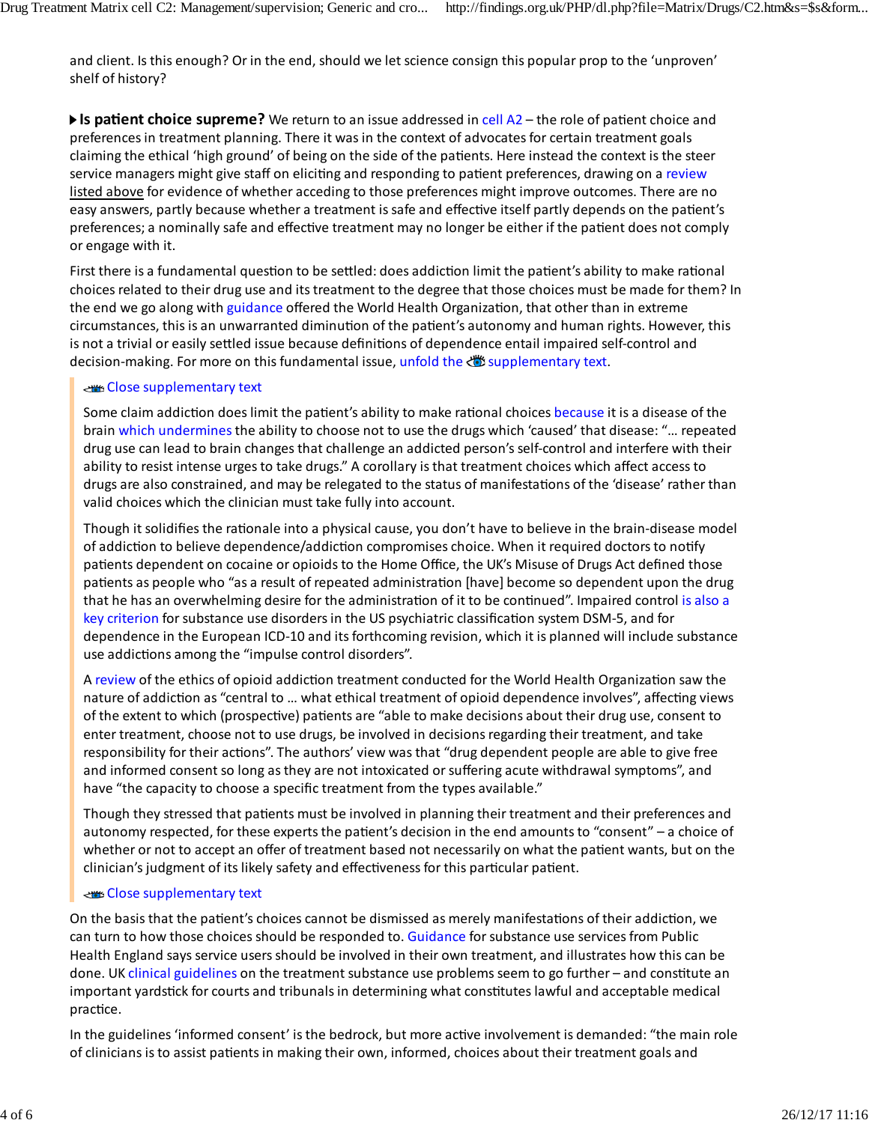and client. Is this enough? Or in the end, should we let science consign this popular prop to the 'unproven' shelf of history?

▶ Is patient choice supreme? We return to an issue addressed in cell A2 – the role of patient choice and preferencesin treatment planning. There it was in the context of advocatesfor certain treatment goals claiming the ethical 'high ground' of being on the side of the patients. Here instead the context is the steer service managers might give staff on eliciting and responding to patient preferences, drawing on a review listed above for evidence of whether acceding to those preferences might improve outcomes. There are no easy answers, partly because whether a treatment is safe and effective itself partly depends on the patient's preferences; a nominally safe and effective treatment may no longer be either if the patient does not comply or engage with it.

First there is a fundamental question to be settled: does addiction limit the patient's ability to make rational choices related to their drug use and itstreatment to the degree that those choices must be made for them? In the end we go along with guidance offered the World Health Organization, that other than in extreme circumstances, thisis an unwarranted diminution of the patient's autonomy and human rights. However, this is not a trivial or easily settled issue because definitions of dependence entail impaired self-control and decision-making. For more on this fundamental issue, unfold the <a>supplementary text.

#### Close supplementary text

Some claim addiction does limit the patient's ability to make rational choices because it is a disease of the brain which undermines the ability to choose not to use the drugs which 'caused' that disease: "... repeated drug use can lead to brain changesthat challenge an addicted person's self‐control and interfere with their ability to resist intense urges to take drugs." A corollary is that treatment choices which affect access to drugs are also constrained, and may be relegated to the status of manifestations of the 'disease' rather than valid choices which the clinician must take fully into account.

Though it solidifies the rationale into a physical cause, you don't have to believe in the brain‐disease model of addiction to believe dependence/addiction compromises choice. When it required doctors to notify patients dependent on cocaine or opioids to the Home Office, the UK's Misuse of Drugs Act defined those patients as people who "as a result of repeated administration [have] become so dependent upon the drug that he has an overwhelming desire for the administration of it to be continued". Impaired control is also a key criterion for substance use disorders in the US psychiatric classification system DSM-5, and for dependence in the European ICD‐10 and itsforthcoming revision, which it is planned will include substance use addictions among the "impulse control disorders".

A review of the ethics of opioid addiction treatment conducted for the World Health Organization saw the nature of addiction as "central to … what ethical treatment of opioid dependence involves", affecting views of the extent to which (prospective) patients are "able to make decisions about their drug use, consent to enter treatment, choose not to use drugs, be involved in decisions regarding their treatment, and take responsibility for their actions". The authors' view was that "drug dependent people are able to give free and informed consent so long as they are not intoxicated or suffering acute withdrawal symptoms", and have "the capacity to choose a specific treatment from the types available."

Though they stressed that patients must be involved in planning their treatment and their preferences and autonomy respected, for these experts the patient's decision in the end amounts to "consent" – a choice of whether or not to accept an offer of treatment based not necessarily on what the patient wants, but on the clinician's judgment of its likely safety and effectiveness for this particular patient.

#### Close supplementary text

On the basis that the patient's choices cannot be dismissed as merely manifestations of their addiction, we can turn to how those choices should be responded to. Guidance for substance use services from Public Health England says service users should be involved in their own treatment, and illustrates how this can be done. UK clinical guidelines on the treatment substance use problems seem to go further – and constitute an important yardstick for courts and tribunals in determining what constituteslawful and acceptable medical practice.

In the guidelines 'informed consent' isthe bedrock, but more active involvement is demanded: "the main role of clinicians isto assist patientsin making their own, informed, choices about their treatment goals and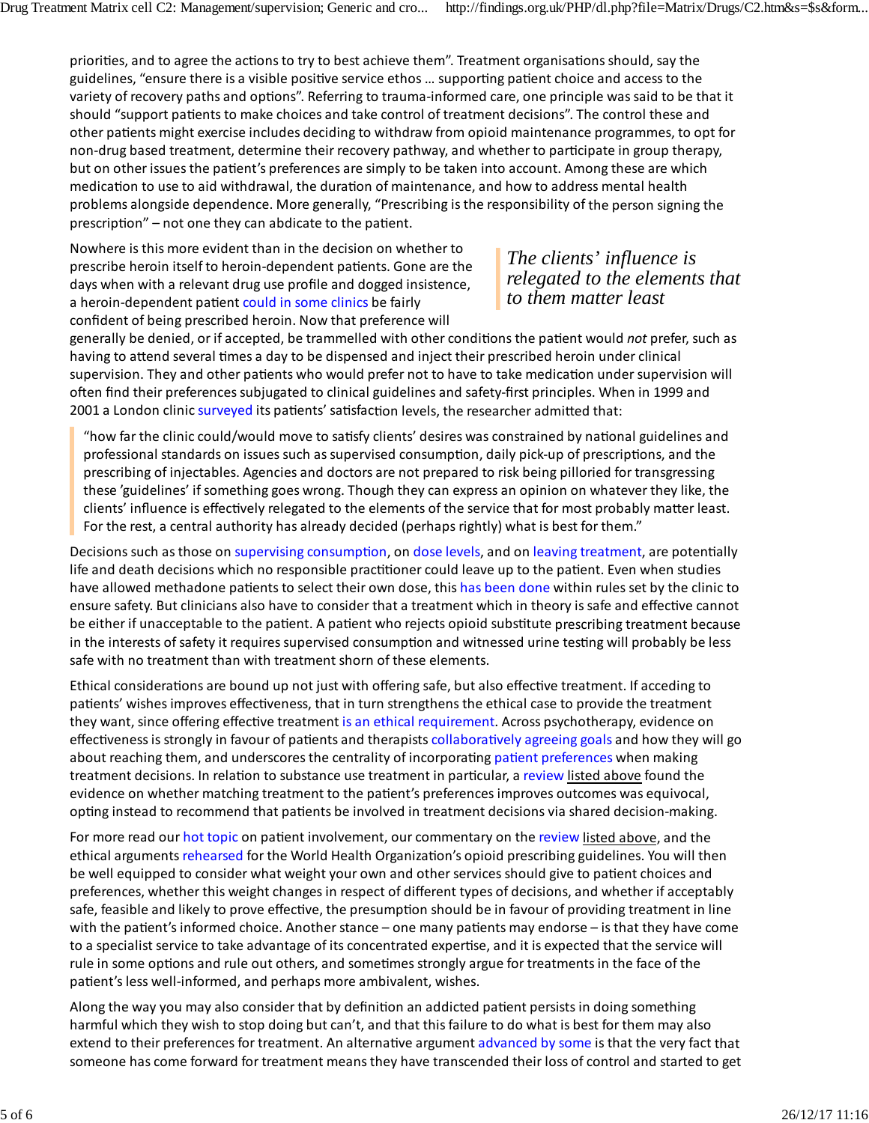priorities, and to agree the actions to try to best achieve them". Treatment organisations should, say the guidelines, "ensure there is a visible positive service ethos … supporting patient choice and access to the variety of recovery paths and options". Referring to trauma‐informed care, one principle wassaid to be that it should "support patients to make choices and take control of treatment decisions". The control these and other patients might exercise includes deciding to withdraw from opioid maintenance programmes, to opt for non‐drug based treatment, determine their recovery pathway, and whether to participate in group therapy, but on other issues the patient's preferences are simply to be taken into account. Among these are which medication to use to aid withdrawal, the duration of maintenance, and how to address mental health problems alongside dependence. More generally, "Prescribing isthe responsibility of the person signing the prescription" – not one they can abdicate to the patient.

Nowhere isthis more evident than in the decision on whether to prescribe heroin itself to heroin‐dependent patients. Gone are the days when with a relevant drug use profile and dogged insistence, a heroin-dependent patient could in some clinics be fairly confident of being prescribed heroin. Now that preference will

### *The clients' influence is relegated to the elements that to them matter least*

generally be denied, or if accepted, be trammelled with other conditions the patient would *not* prefer, such as having to attend several times a day to be dispensed and inject their prescribed heroin under clinical supervision. They and other patients who would prefer not to have to take medication under supervision will often find their preferences subjugated to clinical guidelines and safety‐first principles. When in 1999 and 2001 a London clinic surveyed its patients' satisfaction levels, the researcher admitted that:

"how far the clinic could/would move to satisfy clients' desires was constrained by national guidelines and professional standards on issues such as supervised consumption, daily pick-up of prescriptions, and the prescribing of injectables. Agencies and doctors are not prepared to risk being pilloried for transgressing these 'guidelines' if something goes wrong. Though they can express an opinion on whatever they like, the clients' influence is effectively relegated to the elements of the service that for most probably matter least. For the rest, a central authority has already decided (perhaps rightly) what is best for them."

Decisions such asthose on supervising consumption, on dose levels, and on leaving treatment, are potentially life and death decisions which no responsible practitioner could leave up to the patient. Even when studies have allowed methadone patients to select their own dose, this has been done within rules set by the clinic to ensure safety. But clinicians also have to consider that a treatment which in theory is safe and effective cannot be either if unacceptable to the patient. A patient who rejects opioid substitute prescribing treatment because in the interests of safety it requires supervised consumption and witnessed urine testing will probably be less safe with no treatment than with treatment shorn of these elements.

Ethical considerations are bound up not just with offering safe, but also effective treatment. If acceding to patients' wishes improves effectiveness, that in turn strengthens the ethical case to provide the treatment they want, since offering effective treatment is an ethical requirement. Across psychotherapy, evidence on effectiveness is strongly in favour of patients and therapists collaboratively agreeing goals and how they will go about reaching them, and underscores the centrality of incorporating patient preferences when making treatment decisions. In relation to substance use treatment in particular, a review listed above found the evidence on whether matching treatment to the patient's preferences improves outcomes was equivocal, opting instead to recommend that patients be involved in treatment decisions via shared decision‐making.

For more read our hot topic on patient involvement, our commentary on the review listed above, and the ethical arguments rehearsed for the World Health Organization's opioid prescribing guidelines. You will then be well equipped to consider what weight your own and other services should give to patient choices and preferences, whether this weight changes in respect of different types of decisions, and whether if acceptably safe, feasible and likely to prove effective, the presumption should be in favour of providing treatment in line with the patient's informed choice. Another stance – one many patients may endorse – is that they have come to a specialist service to take advantage of its concentrated expertise, and it is expected that the service will rule in some options and rule out others, and sometimes strongly argue for treatmentsin the face of the patient's less well-informed, and perhaps more ambivalent, wishes.

Along the way you may also consider that by definition an addicted patient persists in doing something harmful which they wish to stop doing but can't, and that this failure to do what is best for them may also extend to their preferences for treatment. An alternative argument advanced by some is that the very fact that someone has come forward for treatment meansthey have transcended their loss of control and started to get